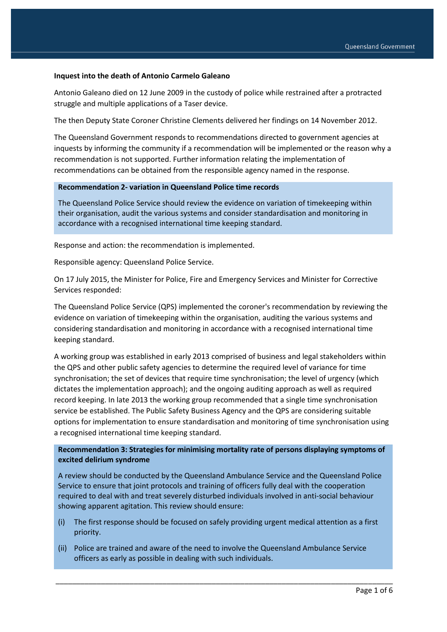#### **Inquest into the death of Antonio Carmelo Galeano**

Antonio Galeano died on 12 June 2009 in the custody of police while restrained after a protracted struggle and multiple applications of a Taser device.

The then Deputy State Coroner Christine Clements delivered her findings on 14 November 2012.

The Queensland Government responds to recommendations directed to government agencies at inquests by informing the community if a recommendation will be implemented or the reason why a recommendation is not supported. Further information relating the implementation of recommendations can be obtained from the responsible agency named in the response.

#### **Recommendation 2- variation in Queensland Police time records**

The Queensland Police Service should review the evidence on variation of timekeeping within their organisation, audit the various systems and consider standardisation and monitoring in accordance with a recognised international time keeping standard.

Response and action: the recommendation is implemented.

Responsible agency: Queensland Police Service.

On 17 July 2015, the Minister for Police, Fire and Emergency Services and Minister for Corrective Services responded:

The Queensland Police Service (QPS) implemented the coroner's recommendation by reviewing the evidence on variation of timekeeping within the organisation, auditing the various systems and considering standardisation and monitoring in accordance with a recognised international time keeping standard.

A working group was established in early 2013 comprised of business and legal stakeholders within the QPS and other public safety agencies to determine the required level of variance for time synchronisation; the set of devices that require time synchronisation; the level of urgency (which dictates the implementation approach); and the ongoing auditing approach as well as required record keeping. In late 2013 the working group recommended that a single time synchronisation service be established. The Public Safety Business Agency and the QPS are considering suitable options for implementation to ensure standardisation and monitoring of time synchronisation using a recognised international time keeping standard.

### **Recommendation 3: Strategies for minimising mortality rate of persons displaying symptoms of excited delirium syndrome**

A review should be conducted by the Queensland Ambulance Service and the Queensland Police Service to ensure that joint protocols and training of officers fully deal with the cooperation required to deal with and treat severely disturbed individuals involved in anti-social behaviour showing apparent agitation. This review should ensure:

(i) The first response should be focused on safely providing urgent medical attention as a first priority.

\_\_\_\_\_\_\_\_\_\_\_\_\_\_\_\_\_\_\_\_\_\_\_\_\_\_\_\_\_\_\_\_\_\_\_\_\_\_\_\_\_\_\_\_\_\_\_\_\_\_\_\_\_\_\_\_\_\_\_\_\_\_\_\_\_\_\_\_\_\_\_\_\_\_\_\_\_\_\_\_\_\_

(ii) Police are trained and aware of the need to involve the Queensland Ambulance Service officers as early as possible in dealing with such individuals.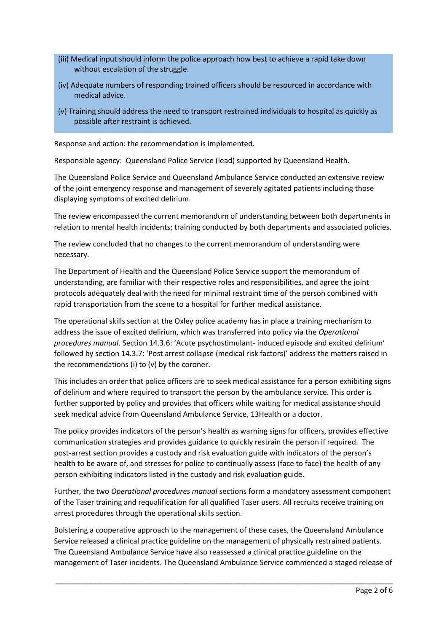- (iii) Medical input should inform the police approach how best to achieve a rapid take down without escalation of the struggle.
- (iv) Adequate numbers of responding trained officers should be resourced in accordance with medical advice.
- (v) Training should address the need to transport restrained individuals to hospital as quickly as possible after restraint is achieved.

Response and action: the recommendation is implemented.

Responsible agency: Queensland Police Service (lead) supported by Queensland Health.

The Queensland Police Service and Queensland Ambulance Service conducted an extensive review of the joint emergency response and management of severely agitated patients including those displaying symptoms of excited delirium.

The review encompassed the current memorandum of understanding between both departments in relation to mental health incidents; training conducted by both departments and associated policies.

The review concluded that no changes to the current memorandum of understanding were necessary.

The Department of Health and the Queensland Police Service support the memorandum of understanding, are familiar with their respective roles and responsibilities, and agree the joint protocols adequately deal with the need for minimal restraint time of the person combined with rapid transportation from the scene to a hospital for further medical assistance.

The operational skills section at the Oxley police academy has in place a training mechanism to address the issue of excited delirium, which was transferred into policy via the *Operational procedures manual*. Section 14.3.6: 'Acute psychostimulant- induced episode and excited delirium' followed by section 14.3.7: 'Post arrest collapse (medical risk factors)' address the matters raised in the recommendations (i) to (v) by the coroner.

This includes an order that police officers are to seek medical assistance for a person exhibiting signs of delirium and where required to transport the person by the ambulance service. This order is further supported by policy and provides that officers while waiting for medical assistance should seek medical advice from Queensland Ambulance Service, 13Health or a doctor.

The policy provides indicators of the person's health as warning signs for officers, provides effective communication strategies and provides guidance to quickly restrain the person if required. The post-arrest section provides a custody and risk evaluation guide with indicators of the person's health to be aware of, and stresses for police to continually assess (face to face) the health of any person exhibiting indicators listed in the custody and risk evaluation guide.

Further, the two *Operational procedures manual* sections form a mandatory assessment component of the Taser training and requalification for all qualified Taser users. All recruits receive training on arrest procedures through the operational skills section.

Bolstering a cooperative approach to the management of these cases, the Queensland Ambulance Service released a clinical practice guideline on the management of physically restrained patients. The Queensland Ambulance Service have also reassessed a clinical practice guideline on the management of Taser incidents. The Queensland Ambulance Service commenced a staged release of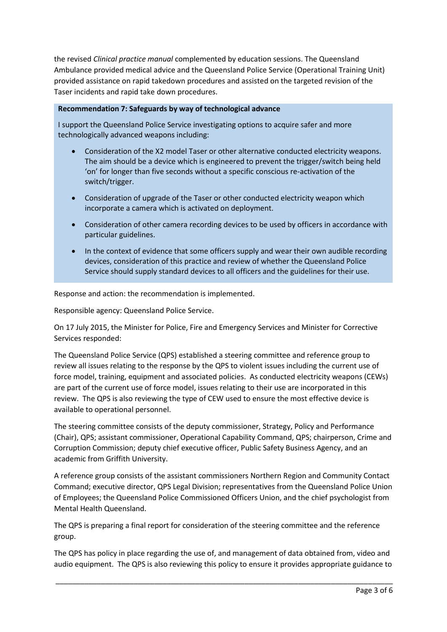the revised *Clinical practice manual* complemented by education sessions. The Queensland Ambulance provided medical advice and the Queensland Police Service (Operational Training Unit) provided assistance on rapid takedown procedures and assisted on the targeted revision of the Taser incidents and rapid take down procedures.

### **Recommendation 7: Safeguards by way of technological advance**

I support the Queensland Police Service investigating options to acquire safer and more technologically advanced weapons including:

- Consideration of the X2 model Taser or other alternative conducted electricity weapons. The aim should be a device which is engineered to prevent the trigger/switch being held 'on' for longer than five seconds without a specific conscious re-activation of the switch/trigger.
- Consideration of upgrade of the Taser or other conducted electricity weapon which incorporate a camera which is activated on deployment.
- Consideration of other camera recording devices to be used by officers in accordance with particular guidelines.
- In the context of evidence that some officers supply and wear their own audible recording devices, consideration of this practice and review of whether the Queensland Police Service should supply standard devices to all officers and the guidelines for their use.

Response and action: the recommendation is implemented.

Responsible agency: Queensland Police Service.

On 17 July 2015, the Minister for Police, Fire and Emergency Services and Minister for Corrective Services responded:

The Queensland Police Service (QPS) established a steering committee and reference group to review all issues relating to the response by the QPS to violent issues including the current use of force model, training, equipment and associated policies. As conducted electricity weapons (CEWs) are part of the current use of force model, issues relating to their use are incorporated in this review. The QPS is also reviewing the type of CEW used to ensure the most effective device is available to operational personnel.

The steering committee consists of the deputy commissioner, Strategy, Policy and Performance (Chair), QPS; assistant commissioner, Operational Capability Command, QPS; chairperson, Crime and Corruption Commission; deputy chief executive officer, Public Safety Business Agency, and an academic from Griffith University.

A reference group consists of the assistant commissioners Northern Region and Community Contact Command; executive director, QPS Legal Division; representatives from the Queensland Police Union of Employees; the Queensland Police Commissioned Officers Union, and the chief psychologist from Mental Health Queensland.

The QPS is preparing a final report for consideration of the steering committee and the reference group.

The QPS has policy in place regarding the use of, and management of data obtained from, video and audio equipment. The QPS is also reviewing this policy to ensure it provides appropriate guidance to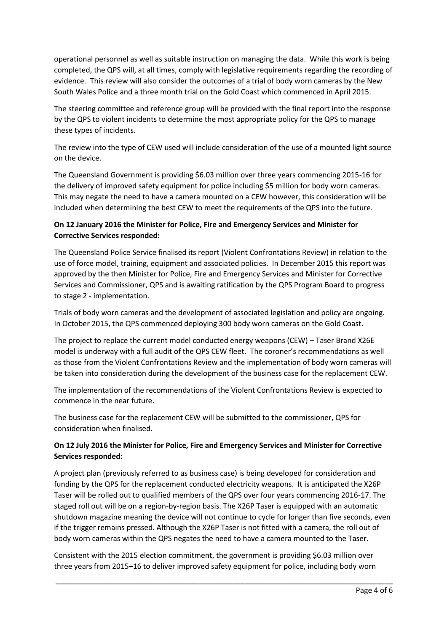operational personnel as well as suitable instruction on managing the data. While this work is being completed, the QPS will, at all times, comply with legislative requirements regarding the recording of evidence. This review will also consider the outcomes of a trial of body worn cameras by the New South Wales Police and a three month trial on the Gold Coast which commenced in April 2015.

The steering committee and reference group will be provided with the final report into the response by the QPS to violent incidents to determine the most appropriate policy for the QPS to manage these types of incidents.

The review into the type of CEW used will include consideration of the use of a mounted light source on the device.

The Queensland Government is providing \$6.03 million over three years commencing 2015-16 for the delivery of improved safety equipment for police including \$5 million for body worn cameras. This may negate the need to have a camera mounted on a CEW however, this consideration will be included when determining the best CEW to meet the requirements of the QPS into the future.

## **On 12 January 2016 the Minister for Police, Fire and Emergency Services and Minister for Corrective Services responded:**

The Queensland Police Service finalised its report (Violent Confrontations Review) in relation to the use of force model, training, equipment and associated policies. In December 2015 this report was approved by the then Minister for Police, Fire and Emergency Services and Minister for Corrective Services and Commissioner, QPS and is awaiting ratification by the QPS Program Board to progress to stage 2 - implementation.

Trials of body worn cameras and the development of associated legislation and policy are ongoing. In October 2015, the QPS commenced deploying 300 body worn cameras on the Gold Coast.

The project to replace the current model conducted energy weapons (CEW) – Taser Brand X26E model is underway with a full audit of the QPS CEW fleet. The coroner's recommendations as well as those from the Violent Confrontations Review and the implementation of body worn cameras will be taken into consideration during the development of the business case for the replacement CEW.

The implementation of the recommendations of the Violent Confrontations Review is expected to commence in the near future.

The business case for the replacement CEW will be submitted to the commissioner, QPS for consideration when finalised.

# **On 12 July 2016 the Minister for Police, Fire and Emergency Services and Minister for Corrective Services responded:**

A project plan (previously referred to as business case) is being developed for consideration and funding by the QPS for the replacement conducted electricity weapons. It is anticipated the X26P Taser will be rolled out to qualified members of the QPS over four years commencing 2016-17. The staged roll out will be on a region-by-region basis. The X26P Taser is equipped with an automatic shutdown magazine meaning the device will not continue to cycle for longer than five seconds, even if the trigger remains pressed. Although the X26P Taser is not fitted with a camera, the roll out of body worn cameras within the QPS negates the need to have a camera mounted to the Taser.

Consistent with the 2015 election commitment, the government is providing \$6.03 million over three years from 2015–16 to deliver improved safety equipment for police, including body worn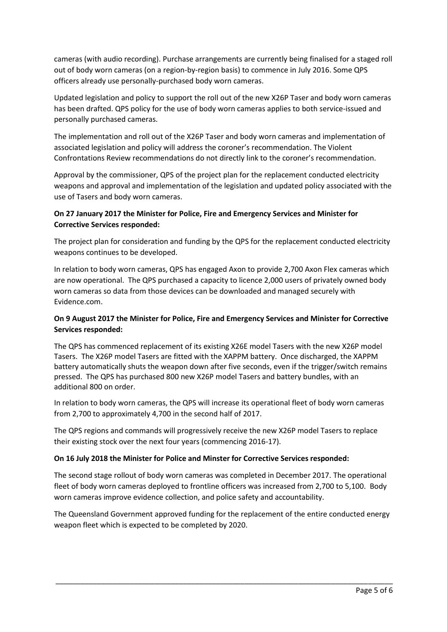cameras (with audio recording). Purchase arrangements are currently being finalised for a staged roll out of body worn cameras (on a region-by-region basis) to commence in July 2016. Some QPS officers already use personally-purchased body worn cameras.

Updated legislation and policy to support the roll out of the new X26P Taser and body worn cameras has been drafted. QPS policy for the use of body worn cameras applies to both service-issued and personally purchased cameras.

The implementation and roll out of the X26P Taser and body worn cameras and implementation of associated legislation and policy will address the coroner's recommendation. The Violent Confrontations Review recommendations do not directly link to the coroner's recommendation.

Approval by the commissioner, QPS of the project plan for the replacement conducted electricity weapons and approval and implementation of the legislation and updated policy associated with the use of Tasers and body worn cameras.

### **On 27 January 2017 the Minister for Police, Fire and Emergency Services and Minister for Corrective Services responded:**

The project plan for consideration and funding by the QPS for the replacement conducted electricity weapons continues to be developed.

In relation to body worn cameras, QPS has engaged Axon to provide 2,700 Axon Flex cameras which are now operational. The QPS purchased a capacity to licence 2,000 users of privately owned body worn cameras so data from those devices can be downloaded and managed securely with Evidence.com.

## **On 9 August 2017 the Minister for Police, Fire and Emergency Services and Minister for Corrective Services responded:**

The QPS has commenced replacement of its existing X26E model Tasers with the new X26P model Tasers. The X26P model Tasers are fitted with the XAPPM battery. Once discharged, the XAPPM battery automatically shuts the weapon down after five seconds, even if the trigger/switch remains pressed. The QPS has purchased 800 new X26P model Tasers and battery bundles, with an additional 800 on order.

In relation to body worn cameras, the QPS will increase its operational fleet of body worn cameras from 2,700 to approximately 4,700 in the second half of 2017.

The QPS regions and commands will progressively receive the new X26P model Tasers to replace their existing stock over the next four years (commencing 2016-17).

### **On 16 July 2018 the Minister for Police and Minster for Corrective Services responded:**

The second stage rollout of body worn cameras was completed in December 2017. The operational fleet of body worn cameras deployed to frontline officers was increased from 2,700 to 5,100. Body worn cameras improve evidence collection, and police safety and accountability.

The Queensland Government approved funding for the replacement of the entire conducted energy weapon fleet which is expected to be completed by 2020.